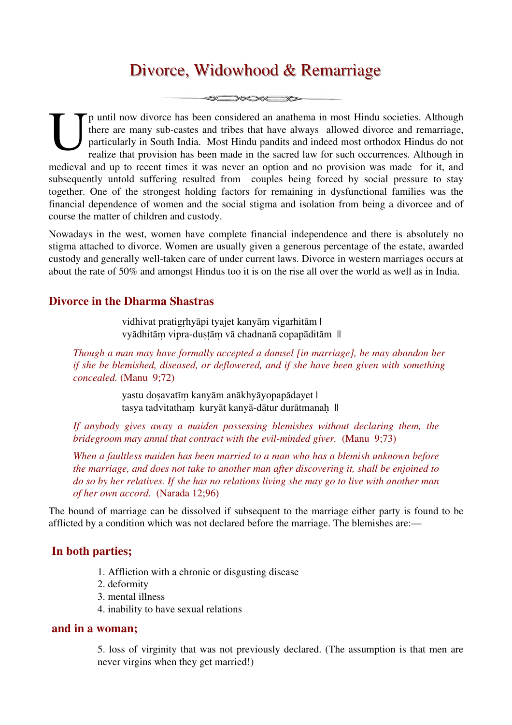# Divorce, Widowhood & Remarriage

**SENSORED DE** 

p until now divorce has been considered an anathema in most Hindu societies. Although there are many sub-castes and tribes that have always allowed divorce and remarriage, particularly in South India. Most Hindu pandits and indeed most orthodox Hindus do not realize that provision has been made in the sacred law for such occurrences. Although in The until now divorce has been considered an anathema in most Hindu societies. Although there are many sub-castes and tribes that have always allowed divorce and remarriage, particularly in South India. Most Hindu pandits subsequently untold suffering resulted from couples being forced by social pressure to stay together. One of the strongest holding factors for remaining in dysfunctional families was the financial dependence of women and the social stigma and isolation from being a divorcee and of course the matter of children and custody.

Nowadays in the west, women have complete financial independence and there is absolutely no stigma attached to divorce. Women are usually given a generous percentage of the estate, awarded custody and generally well-taken care of under current laws. Divorce in western marriages occurs at about the rate of 50% and amongst Hindus too it is on the rise all over the world as well as in India.

### **Divorce in the Dharma Shastras**

vidhivat pratigṛhyāpi tyajet kanyāṃ vigarhitām | vyādhitām vipra-dustām vā chadnanā copapāditām ||

*Though a man may have formally accepted a damsel [in marriage], he may abandon her if she be blemished, diseased, or deflowered, and if she have been given with something concealed.* (Manu 9;72)

> yastu doṣavatīṃ kanyām anākhyāyopapādayet | tasya tadvitatham kuryāt kanyā-dātur durātmanah ||

*If anybody gives away a maiden possessing blemishes without declaring them, the bridegroom may annul that contract with the evil-minded giver.* (Manu 9;73)

*When a faultless maiden has been married to a man who has a blemish unknown before the marriage, and does not take to another man after discovering it, shall be enjoined to do so by her relatives. If she has no relations living she may go to live with another man of her own accord.* (Narada 12;96)

The bound of marriage can be dissolved if subsequent to the marriage either party is found to be afflicted by a condition which was not declared before the marriage. The blemishes are:—

## **In both parties;**

- 1. Affliction with a chronic or disgusting disease
- 2. deformity
- 3. mental illness
- 4. inability to have sexual relations

#### **and in a woman;**

5. loss of virginity that was not previously declared. (The assumption is that men are never virgins when they get married!)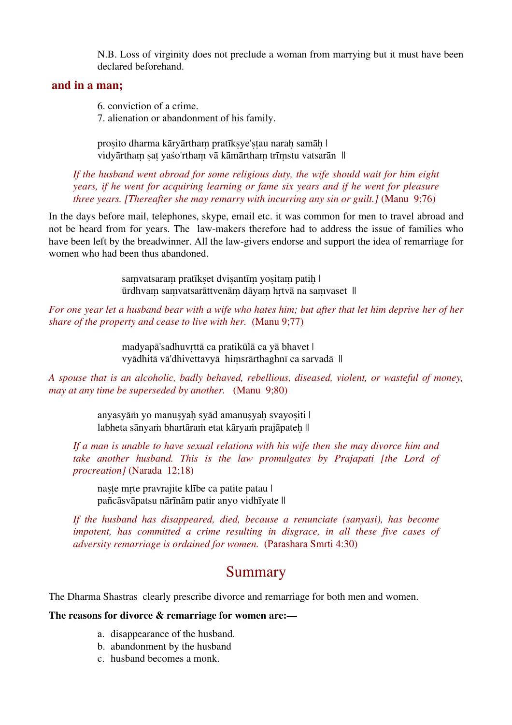N.B. Loss of virginity does not preclude a woman from marrying but it must have been declared beforehand.

#### **and in a man;**

6. conviction of a crime.

7. alienation or abandonment of his family.

prosito dharma kāryārtham pratīksye'stau narah samāh | vidyārtham sat yaśo'rtham vā kāmārtham trīmstu vatsarān ||

*If the husband went abroad for some religious duty, the wife should wait for him eight years, if he went for acquiring learning or fame six years and if he went for pleasure three years. [Thereafter she may remarry with incurring any sin or guilt.]* (Manu 9;76)

In the days before mail, telephones, skype, email etc. it was common for men to travel abroad and not be heard from for years. The law-makers therefore had to address the issue of families who have been left by the breadwinner. All the law-givers endorse and support the idea of remarriage for women who had been thus abandoned.

> samvatsaram pratīkset dvisantīm yositam patih | ūrdhvaṃ saṃvatsarāttvenāṃ dāyaṃ hṛtvā na saṃvaset ||

*For one year let a husband bear with a wife who hates him; but after that let him deprive her of her share of the property and cease to live with her.* (Manu 9;77)

> madyapā'sadhuvṛttā ca pratikūlā ca yā bhavet | vyādhitā vā'dhivettavyā hiṃsrārthaghnī ca sarvadā ||

*A spouse that is an alcoholic, badly behaved, rebellious, diseased, violent, or wasteful of money, may at any time be superseded by another.* (Manu 9;80)

> anyasyām yo manusyah syād amanusyah svayositi | labheta sānyaṁ bhartāraṁ etat kāryaṁ prajāpateh ||

*If a man is unable to have sexual relations with his wife then she may divorce him and take another husband. This is the law promulgates by Prajapati [the Lord of procreation]* (Narada 12;18)

naște mrte pravrajite klībe ca patite patau | pañcāsvāpatsu nārīnām patir anyo vidhīyate ||

*If the husband has disappeared, died, because a renunciate (sanyasi), has become impotent, has committed a crime resulting in disgrace, in all these five cases of adversity remarriage is ordained for women.* (Parashara Smrti 4:30)

# Summary

The Dharma Shastras clearly prescribe divorce and remarriage for both men and women.

#### **The reasons for divorce & remarriage for women are:—**

- a. disappearance of the husband.
- b. abandonment by the husband
- c. husband becomes a monk.